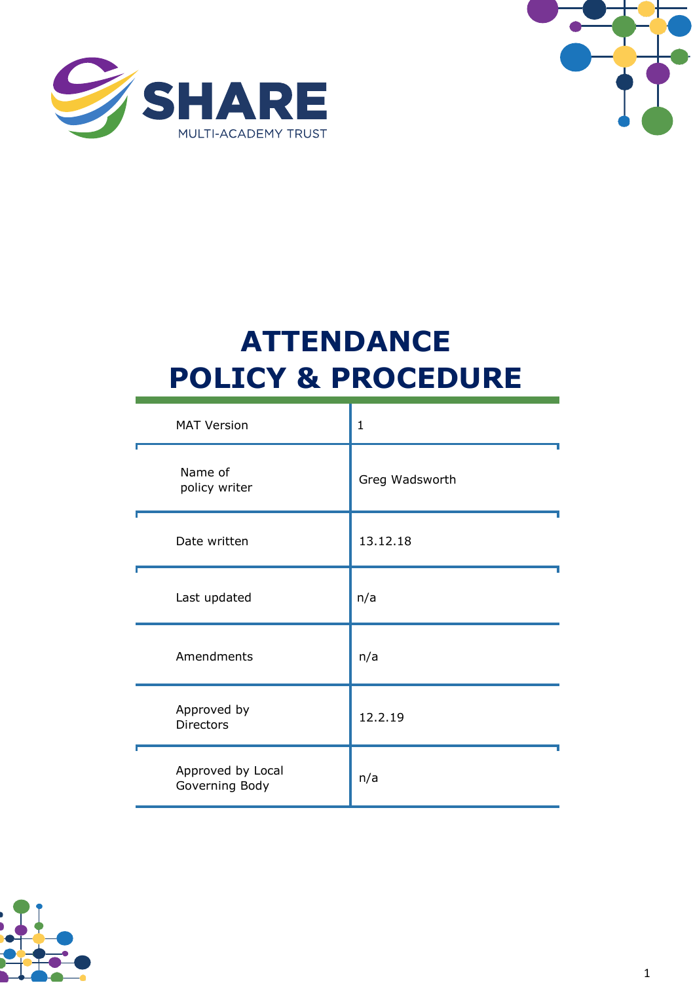



# **ATTENDANCE POLICY & PROCEDURE**

| <b>MAT Version</b>                  | $\mathbf{1}$   |
|-------------------------------------|----------------|
| Name of<br>policy writer            | Greg Wadsworth |
| Date written                        | 13.12.18       |
| Last updated                        | n/a            |
| Amendments                          | n/a            |
| Approved by<br><b>Directors</b>     | 12.2.19        |
| Approved by Local<br>Governing Body | n/a            |

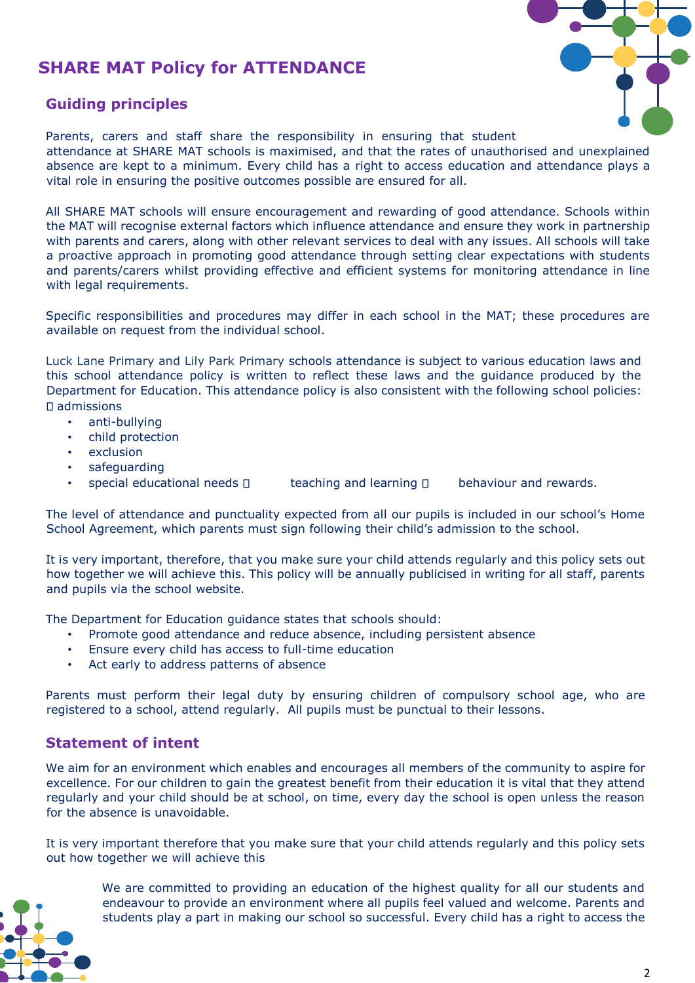## **SHARE MAT Policy for ATTENDANCE**



## **Guiding principles**

Parents, carers and staff share the responsibility in ensuring that student attendance at SHARE MAT schools is maximised, and that the rates of unauthorised and unexplained absence are kept to a minimum. Every child has a right to access education and attendance plays a vital role in ensuring the positive outcomes possible are ensured for all.

All SHARE MAT schools will ensure encouragement and rewarding of good attendance. Schools within the MAT will recognise external factors which influence attendance and ensure they work in partnership with parents and carers, along with other relevant services to deal with any issues. All schools will take a proactive approach in promoting good attendance through setting clear expectations with students and parents/carers whilst providing effective and efficient systems for monitoring attendance in line with legal requirements.

Specific responsibilities and procedures may differ in each school in the MAT; these procedures are available on request from the individual school.

Luck Lane Primary and Lily Park Primary schools attendance is subject to various education laws and this school attendance policy is written to reflect these laws and the guidance produced by the Department for Education. This attendance policy is also consistent with the following school policies: admissions

- anti-bullying
- child protection
- **exclusion**
- safeguarding
- special educational needs  $\Box$  teaching and learning  $\Box$  behaviour and rewards.

The level of attendance and punctuality expected from all our pupils is included in our school's Home School Agreement, which parents must sign following their child's admission to the school.

It is very important, therefore, that you make sure your child attends regularly and this policy sets out how together we will achieve this. This policy will be annually publicised in writing for all staff, parents and pupils via the school website.

The Department for Education guidance states that schools should:

- Promote good attendance and reduce absence, including persistent absence
- Ensure every child has access to full-time education
- Act early to address patterns of absence

Parents must perform their legal duty by ensuring children of compulsory school age, who are registered to a school, attend regularly. All pupils must be punctual to their lessons.

## **Statement of intent**

We aim for an environment which enables and encourages all members of the community to aspire for excellence. For our children to gain the greatest benefit from their education it is vital that they attend regularly and your child should be at school, on time, every day the school is open unless the reason for the absence is unavoidable.

It is very important therefore that you make sure that your child attends regularly and this policy sets out how together we will achieve this



We are committed to providing an education of the highest quality for all our students and endeavour to provide an environment where all pupils feel valued and welcome. Parents and students play a part in making our school so successful. Every child has a right to access the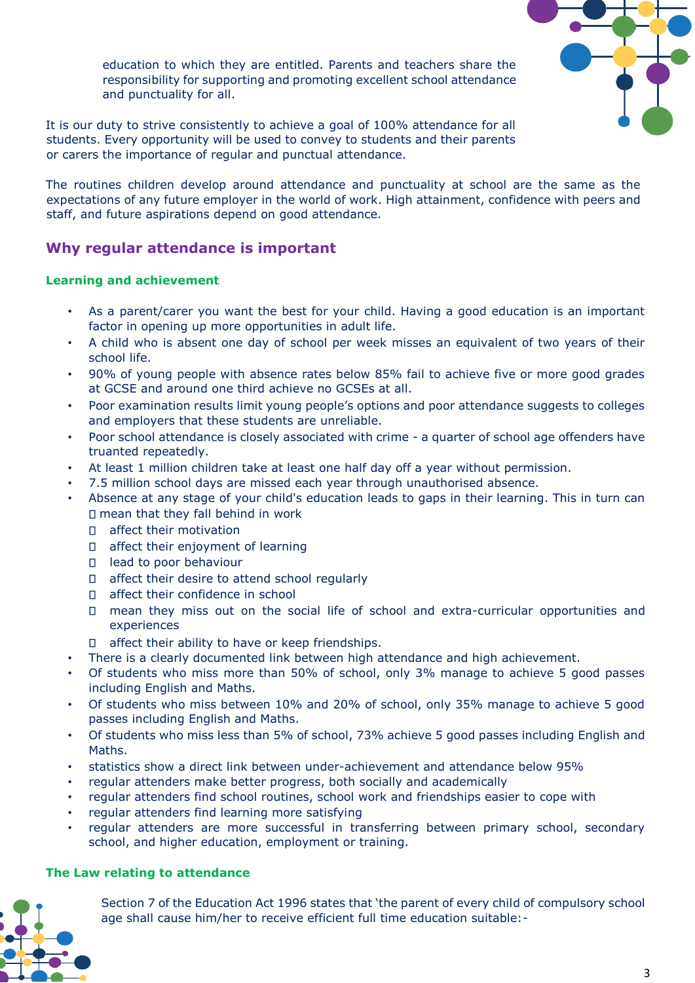education to which they are entitled. Parents and teachers share the responsibility for supporting and promoting excellent school attendance and punctuality for all.

It is our duty to strive consistently to achieve a goal of 100% attendance for all students. Every opportunity will be used to convey to students and their parents or carers the importance of regular and punctual attendance.

The routines children develop around attendance and punctuality at school are the same as the expectations of any future employer in the world of work. High attainment, confidence with peers and staff, and future aspirations depend on good attendance.

## **Why regular attendance is important**

#### **Learning and achievement**

- As a parent/carer you want the best for your child. Having a good education is an important factor in opening up more opportunities in adult life.
- A child who is absent one day of school per week misses an equivalent of two years of their school life.
- 90% of young people with absence rates below 85% fail to achieve five or more good grades at GCSE and around one third achieve no GCSEs at all.
- Poor examination results limit young people's options and poor attendance suggests to colleges and employers that these students are unreliable.
- Poor school attendance is closely associated with crime a quarter of school age offenders have truanted repeatedly.
- At least 1 million children take at least one half day off a year without permission.
- 7.5 million school days are missed each year through unauthorised absence.
- Absence at any stage of your child's education leads to gaps in their learning. This in turn can  $\Box$  mean that they fall behind in work
	- D affect their motivation
	- $\Box$  affect their enjoyment of learning
	- □ lead to poor behaviour
	- □ affect their desire to attend school regularly
	- □ affect their confidence in school
	- mean they miss out on the social life of school and extra-curricular opportunities and experiences
	- $\Box$ affect their ability to have or keep friendships.
- There is a clearly documented link between high attendance and high achievement.
- Of students who miss more than 50% of school, only 3% manage to achieve 5 good passes including English and Maths.
- Of students who miss between 10% and 20% of school, only 35% manage to achieve 5 good passes including English and Maths.
- Of students who miss less than 5% of school, 73% achieve 5 good passes including English and Maths.
- statistics show a direct link between under-achievement and attendance below 95%
- regular attenders make better progress, both socially and academically
- regular attenders find school routines, school work and friendships easier to cope with
- regular attenders find learning more satisfying
- regular attenders are more successful in transferring between primary school, secondary school, and higher education, employment or training.

#### **The Law relating to attendance**

Section 7 of the Education Act 1996 states that 'the parent of every child of compulsory school age shall cause him/her to receive efficient full time education suitable:-

3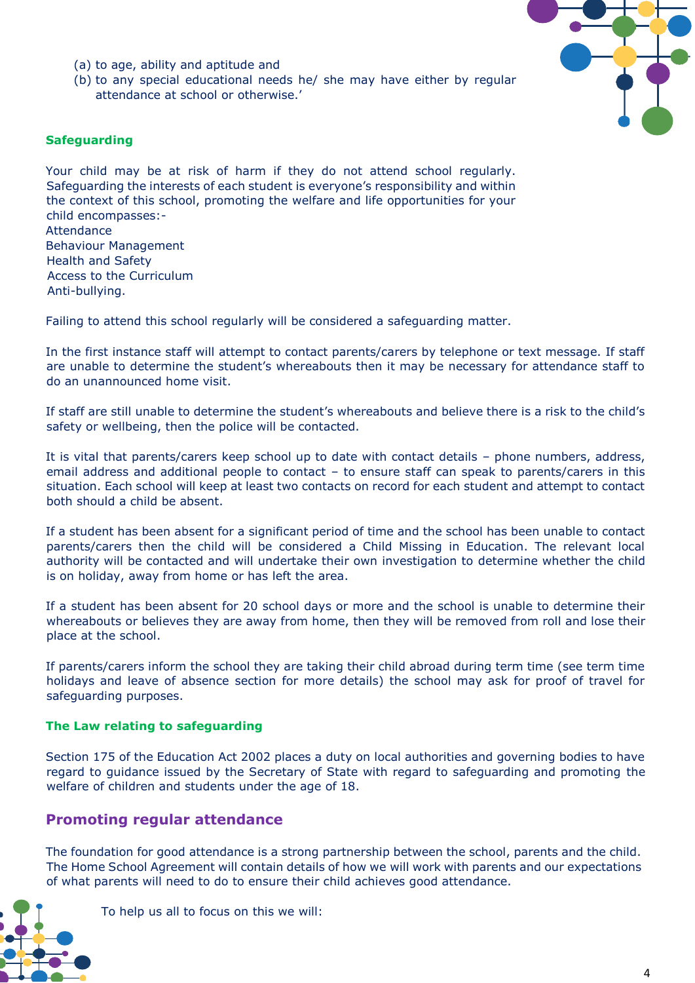- (a) to age, ability and aptitude and
- (b) to any special educational needs he/ she may have either by regular attendance at school or otherwise.'

#### **Safeguarding**

Your child may be at risk of harm if they do not attend school regularly. Safeguarding the interests of each student is everyone's responsibility and within the context of this school, promoting the welfare and life opportunities for your child encompasses:- **Attendance** Behaviour Management Health and Safety Access to the Curriculum

Anti-bullying.

Failing to attend this school regularly will be considered a safeguarding matter.

In the first instance staff will attempt to contact parents/carers by telephone or text message. If staff are unable to determine the student's whereabouts then it may be necessary for attendance staff to do an unannounced home visit.

If staff are still unable to determine the student's whereabouts and believe there is a risk to the child's safety or wellbeing, then the police will be contacted.

It is vital that parents/carers keep school up to date with contact details – phone numbers, address, email address and additional people to contact – to ensure staff can speak to parents/carers in this situation. Each school will keep at least two contacts on record for each student and attempt to contact both should a child be absent.

If a student has been absent for a significant period of time and the school has been unable to contact parents/carers then the child will be considered a Child Missing in Education. The relevant local authority will be contacted and will undertake their own investigation to determine whether the child is on holiday, away from home or has left the area.

If a student has been absent for 20 school days or more and the school is unable to determine their whereabouts or believes they are away from home, then they will be removed from roll and lose their place at the school.

If parents/carers inform the school they are taking their child abroad during term time (see term time holidays and leave of absence section for more details) the school may ask for proof of travel for safeguarding purposes.

#### **The Law relating to safeguarding**

Section 175 of the Education Act 2002 places a duty on local authorities and governing bodies to have regard to guidance issued by the Secretary of State with regard to safeguarding and promoting the welfare of children and students under the age of 18.

## **Promoting regular attendance**

The foundation for good attendance is a strong partnership between the school, parents and the child. The Home School Agreement will contain details of how we will work with parents and our expectations of what parents will need to do to ensure their child achieves good attendance.



To help us all to focus on this we will: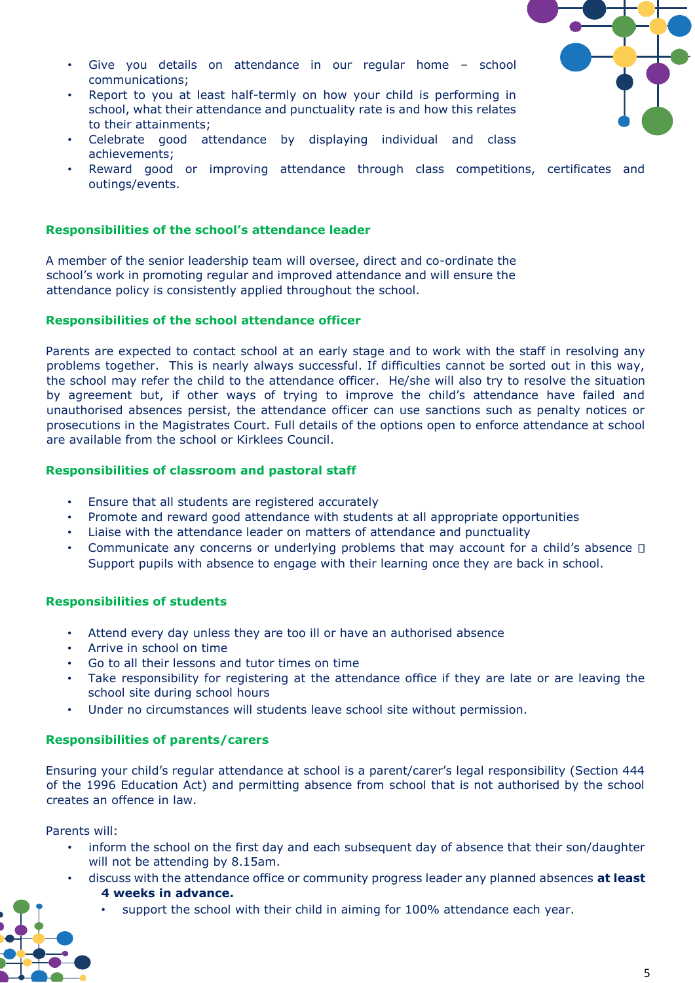- 
- Give you details on attendance in our regular home school communications;
- Report to you at least half-termly on how your child is performing in school, what their attendance and punctuality rate is and how this relates to their attainments;
- Celebrate good attendance by displaying individual and class achievements;
- Reward good or improving attendance through class competitions, certificates and outings/events.

#### **Responsibilities of the school's attendance leader**

A member of the senior leadership team will oversee, direct and co-ordinate the school's work in promoting regular and improved attendance and will ensure the attendance policy is consistently applied throughout the school.

#### **Responsibilities of the school attendance officer**

Parents are expected to contact school at an early stage and to work with the staff in resolving any problems together. This is nearly always successful. If difficulties cannot be sorted out in this way, the school may refer the child to the attendance officer. He/she will also try to resolve the situation by agreement but, if other ways of trying to improve the child's attendance have failed and unauthorised absences persist, the attendance officer can use sanctions such as penalty notices or prosecutions in the Magistrates Court. Full details of the options open to enforce attendance at school are available from the school or Kirklees Council.

#### **Responsibilities of classroom and pastoral staff**

- Ensure that all students are registered accurately
- Promote and reward good attendance with students at all appropriate opportunities
- Liaise with the attendance leader on matters of attendance and punctuality
- Communicate any concerns or underlying problems that may account for a child's absence  $\square$ Support pupils with absence to engage with their learning once they are back in school.

#### **Responsibilities of students**

- Attend every day unless they are too ill or have an authorised absence
- Arrive in school on time
- Go to all their lessons and tutor times on time
- Take responsibility for registering at the attendance office if they are late or are leaving the school site during school hours
- Under no circumstances will students leave school site without permission.

#### **Responsibilities of parents/carers**

Ensuring your child's regular attendance at school is a parent/carer's legal responsibility (Section 444 of the 1996 Education Act) and permitting absence from school that is not authorised by the school creates an offence in law.

#### Parents will:

- inform the school on the first day and each subsequent day of absence that their son/daughter will not be attending by 8.15am.
	- discuss with the attendance office or community progress leader any planned absences **at least 4 weeks in advance.** 
		- support the school with their child in aiming for 100% attendance each year.

5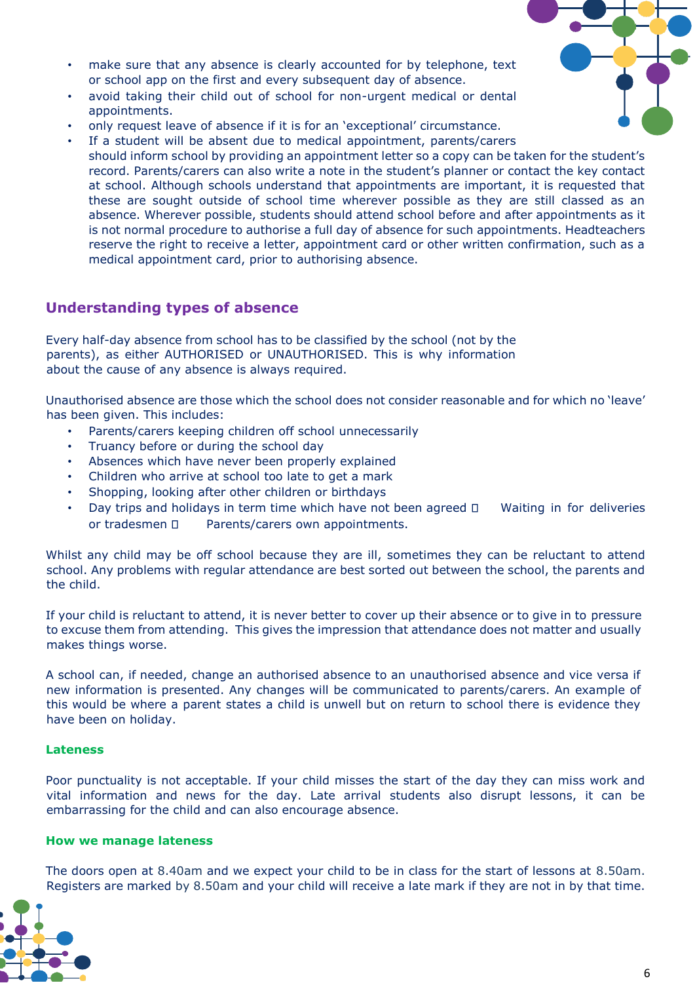- 
- make sure that any absence is clearly accounted for by telephone, text or school app on the first and every subsequent day of absence.
- avoid taking their child out of school for non-urgent medical or dental appointments.
- only request leave of absence if it is for an 'exceptional' circumstance.
- If a student will be absent due to medical appointment, parents/carers should inform school by providing an appointment letter so a copy can be taken for the student's record. Parents/carers can also write a note in the student's planner or contact the key contact at school. Although schools understand that appointments are important, it is requested that these are sought outside of school time wherever possible as they are still classed as an absence. Wherever possible, students should attend school before and after appointments as it is not normal procedure to authorise a full day of absence for such appointments. Headteachers reserve the right to receive a letter, appointment card or other written confirmation, such as a medical appointment card, prior to authorising absence.

## **Understanding types of absence**

Every half-day absence from school has to be classified by the school (not by the parents), as either AUTHORISED or UNAUTHORISED. This is why information about the cause of any absence is always required.

Unauthorised absence are those which the school does not consider reasonable and for which no 'leave' has been given. This includes:

- Parents/carers keeping children off school unnecessarily
- Truancy before or during the school day
- Absences which have never been properly explained
- Children who arrive at school too late to get a mark
- Shopping, looking after other children or birthdays
- Day trips and holidays in term time which have not been agreed  $\Box$  Waiting in for deliveries or tradesmen  $\square$  Parents/carers own appointments.

Whilst any child may be off school because they are ill, sometimes they can be reluctant to attend school. Any problems with regular attendance are best sorted out between the school, the parents and the child.

If your child is reluctant to attend, it is never better to cover up their absence or to give in to pressure to excuse them from attending. This gives the impression that attendance does not matter and usually makes things worse.

A school can, if needed, change an authorised absence to an unauthorised absence and vice versa if new information is presented. Any changes will be communicated to parents/carers. An example of this would be where a parent states a child is unwell but on return to school there is evidence they have been on holiday.

#### **Lateness**

Poor punctuality is not acceptable. If your child misses the start of the day they can miss work and vital information and news for the day. Late arrival students also disrupt lessons, it can be embarrassing for the child and can also encourage absence.

#### **How we manage lateness**

The doors open at 8.40am and we expect your child to be in class for the start of lessons at 8.50am. Registers are marked by 8.50am and your child will receive a late mark if they are not in by that time.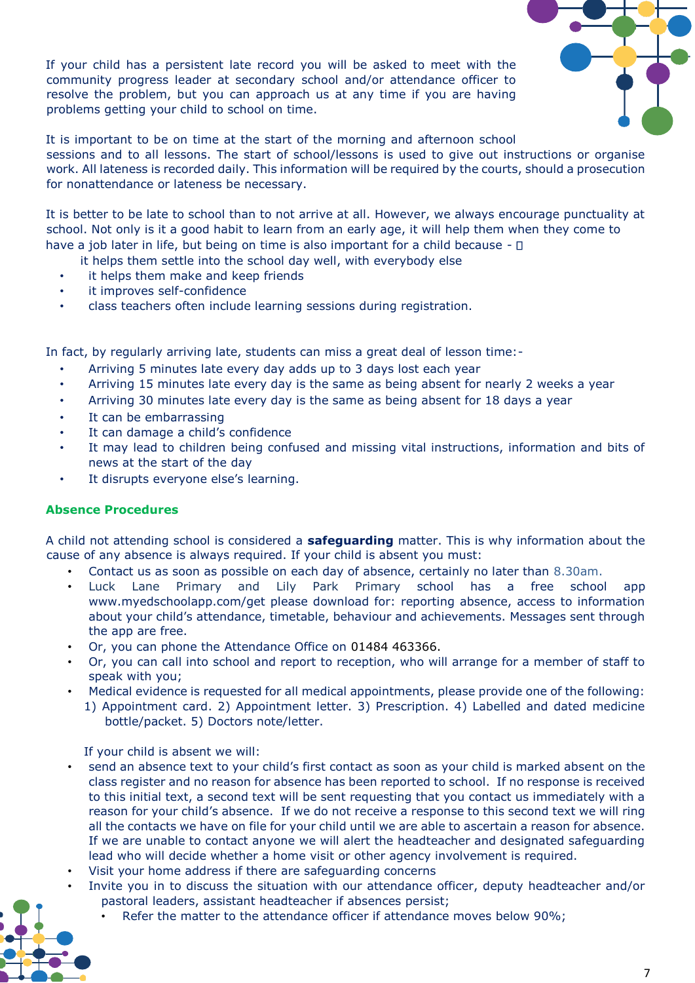If your child has a persistent late record you will be asked to meet with the community progress leader at secondary school and/or attendance officer to resolve the problem, but you can approach us at any time if you are having problems getting your child to school on time.



It is important to be on time at the start of the morning and afternoon school sessions and to all lessons. The start of school/lessons is used to give out instructions or organise work. All lateness is recorded daily. This information will be required by the courts, should a prosecution for nonattendance or lateness be necessary.

It is better to be late to school than to not arrive at all. However, we always encourage punctuality at school. Not only is it a good habit to learn from an early age, it will help them when they come to have a job later in life, but being on time is also important for a child because -  $\Box$ 

- it helps them settle into the school day well, with everybody else
- it helps them make and keep friends
- it improves self-confidence
- class teachers often include learning sessions during registration.

In fact, by regularly arriving late, students can miss a great deal of lesson time:-

- Arriving 5 minutes late every day adds up to 3 days lost each year
- Arriving 15 minutes late every day is the same as being absent for nearly 2 weeks a year
- Arriving 30 minutes late every day is the same as being absent for 18 days a year
- It can be embarrassing
- It can damage a child's confidence
- It may lead to children being confused and missing vital instructions, information and bits of news at the start of the day
- It disrupts everyone else's learning.

## **Absence Procedures**

A child not attending school is considered a **safeguarding** matter. This is why information about the cause of any absence is always required. If your child is absent you must:

- Contact us as soon as possible on each day of absence, certainly no later than 8.30am.
- Luck Lane Primary and Lily Park Primary school has a free school app www.myedschoolapp.com/get please download for: reporting absence, access to information about your child's attendance, timetable, behaviour and achievements. Messages sent through the app are free.
- Or, you can phone the Attendance Office on 01484 463366.
- Or, you can call into school and report to reception, who will arrange for a member of staff to speak with you;
- Medical evidence is requested for all medical appointments, please provide one of the following:
- 1) Appointment card. 2) Appointment letter. 3) Prescription. 4) Labelled and dated medicine bottle/packet. 5) Doctors note/letter.

If your child is absent we will:

- send an absence text to your child's first contact as soon as your child is marked absent on the class register and no reason for absence has been reported to school. If no response is received to this initial text, a second text will be sent requesting that you contact us immediately with a reason for your child's absence. If we do not receive a response to this second text we will ring all the contacts we have on file for your child until we are able to ascertain a reason for absence. If we are unable to contact anyone we will alert the headteacher and designated safeguarding lead who will decide whether a home visit or other agency involvement is required.
- Visit your home address if there are safeguarding concerns
- Invite you in to discuss the situation with our attendance officer, deputy headteacher and/or pastoral leaders, assistant headteacher if absences persist;
	- Refer the matter to the attendance officer if attendance moves below 90%;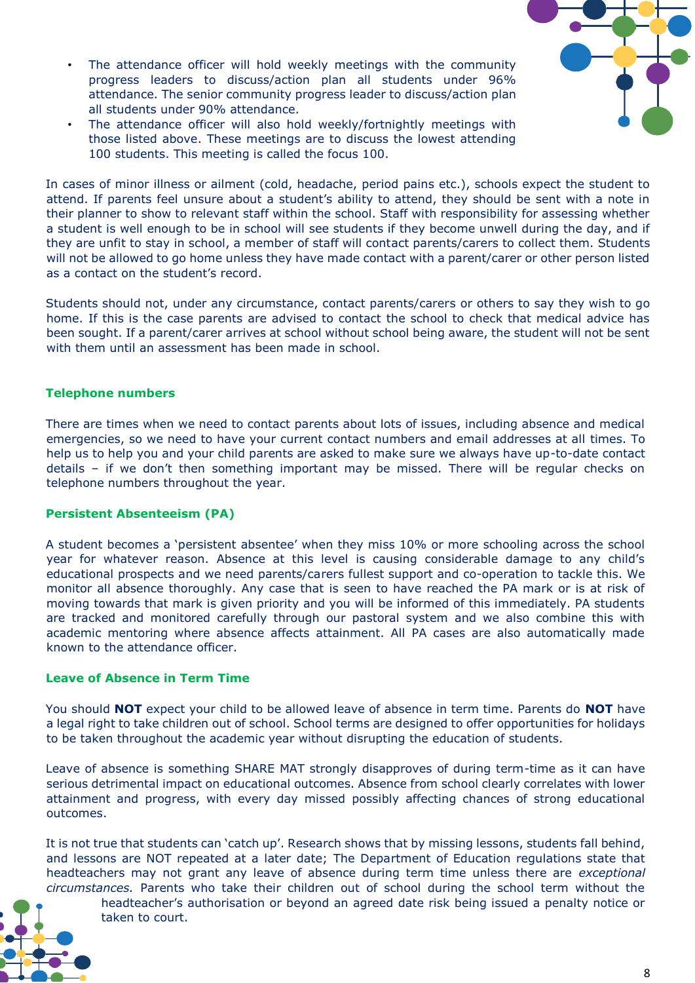- 
- The attendance officer will hold weekly meetings with the community progress leaders to discuss/action plan all students under 96% attendance. The senior community progress leader to discuss/action plan all students under 90% attendance.
- The attendance officer will also hold weekly/fortnightly meetings with those listed above. These meetings are to discuss the lowest attending 100 students. This meeting is called the focus 100.

In cases of minor illness or ailment (cold, headache, period pains etc.), schools expect the student to attend. If parents feel unsure about a student's ability to attend, they should be sent with a note in their planner to show to relevant staff within the school. Staff with responsibility for assessing whether a student is well enough to be in school will see students if they become unwell during the day, and if they are unfit to stay in school, a member of staff will contact parents/carers to collect them. Students will not be allowed to go home unless they have made contact with a parent/carer or other person listed as a contact on the student's record.

Students should not, under any circumstance, contact parents/carers or others to say they wish to go home. If this is the case parents are advised to contact the school to check that medical advice has been sought. If a parent/carer arrives at school without school being aware, the student will not be sent with them until an assessment has been made in school.

#### **Telephone numbers**

There are times when we need to contact parents about lots of issues, including absence and medical emergencies, so we need to have your current contact numbers and email addresses at all times. To help us to help you and your child parents are asked to make sure we always have up-to-date contact details – if we don't then something important may be missed. There will be regular checks on telephone numbers throughout the year.

#### **Persistent Absenteeism (PA)**

A student becomes a 'persistent absentee' when they miss 10% or more schooling across the school year for whatever reason. Absence at this level is causing considerable damage to any child's educational prospects and we need parents/carers fullest support and co-operation to tackle this. We monitor all absence thoroughly. Any case that is seen to have reached the PA mark or is at risk of moving towards that mark is given priority and you will be informed of this immediately. PA students are tracked and monitored carefully through our pastoral system and we also combine this with academic mentoring where absence affects attainment. All PA cases are also automatically made known to the attendance officer.

#### **Leave of Absence in Term Time**

You should **NOT** expect your child to be allowed leave of absence in term time. Parents do **NOT** have a legal right to take children out of school. School terms are designed to offer opportunities for holidays to be taken throughout the academic year without disrupting the education of students.

Leave of absence is something SHARE MAT strongly disapproves of during term-time as it can have serious detrimental impact on educational outcomes. Absence from school clearly correlates with lower attainment and progress, with every day missed possibly affecting chances of strong educational outcomes.

It is not true that students can 'catch up'. Research shows that by missing lessons, students fall behind, and lessons are NOT repeated at a later date; The Department of Education regulations state that headteachers may not grant any leave of absence during term time unless there are *exceptional circumstances.* Parents who take their children out of school during the school term without the

headteacher's authorisation or beyond an agreed date risk being issued a penalty notice or taken to court.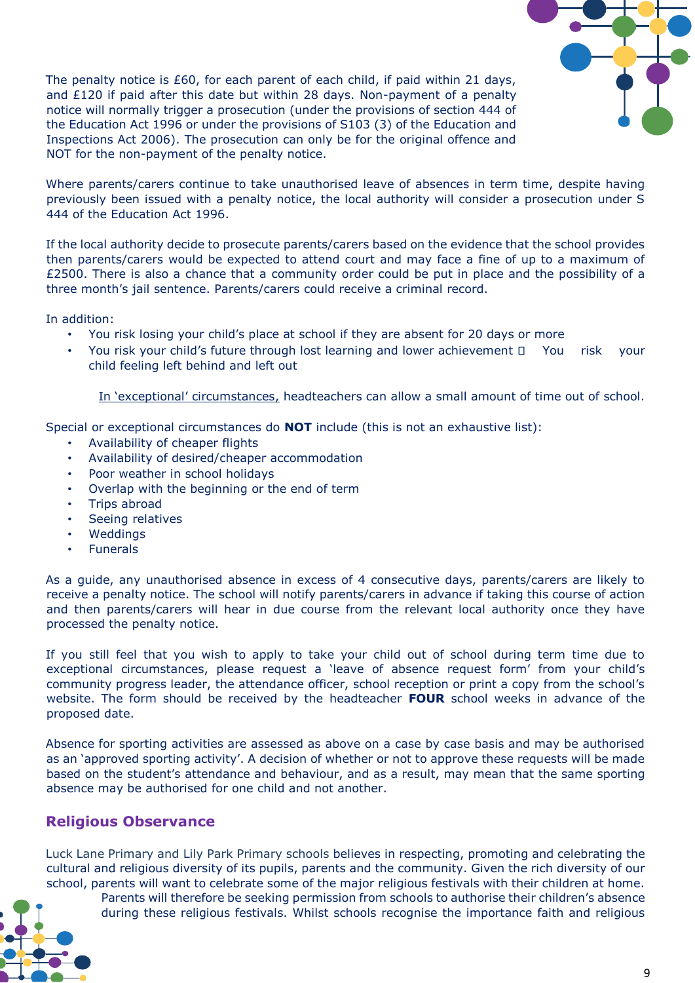

The penalty notice is £60, for each parent of each child, if paid within 21 days, and £120 if paid after this date but within 28 days. Non-payment of a penalty notice will normally trigger a prosecution (under the provisions of section 444 of the Education Act 1996 or under the provisions of S103 (3) of the Education and Inspections Act 2006). The prosecution can only be for the original offence and NOT for the non-payment of the penalty notice.

Where parents/carers continue to take unauthorised leave of absences in term time, despite having previously been issued with a penalty notice, the local authority will consider a prosecution under S 444 of the Education Act 1996.

If the local authority decide to prosecute parents/carers based on the evidence that the school provides then parents/carers would be expected to attend court and may face a fine of up to a maximum of £2500. There is also a chance that a community order could be put in place and the possibility of a three month's jail sentence. Parents/carers could receive a criminal record.

In addition:

- You risk losing your child's place at school if they are absent for 20 days or more
- You risk your child's future through lost learning and lower achievement  $\Box$  You risk your child feeling left behind and left out

In 'exceptional' circumstances, headteachers can allow a small amount of time out of school.

Special or exceptional circumstances do **NOT** include (this is not an exhaustive list):

- Availability of cheaper flights
- Availability of desired/cheaper accommodation
- Poor weather in school holidays
- Overlap with the beginning or the end of term
- Trips abroad
- Seeing relatives
- **Weddings**
- **Funerals**

As a guide, any unauthorised absence in excess of 4 consecutive days, parents/carers are likely to receive a penalty notice. The school will notify parents/carers in advance if taking this course of action and then parents/carers will hear in due course from the relevant local authority once they have processed the penalty notice.

If you still feel that you wish to apply to take your child out of school during term time due to exceptional circumstances, please request a 'leave of absence request form' from your child's community progress leader, the attendance officer, school reception or print a copy from the school's website. The form should be received by the headteacher **FOUR** school weeks in advance of the proposed date.

Absence for sporting activities are assessed as above on a case by case basis and may be authorised as an 'approved sporting activity'. A decision of whether or not to approve these requests will be made based on the student's attendance and behaviour, and as a result, may mean that the same sporting absence may be authorised for one child and not another.

## **Religious Observance**

Luck Lane Primary and Lily Park Primary schools believes in respecting, promoting and celebrating the cultural and religious diversity of its pupils, parents and the community. Given the rich diversity of our school, parents will want to celebrate some of the major religious festivals with their children at home.

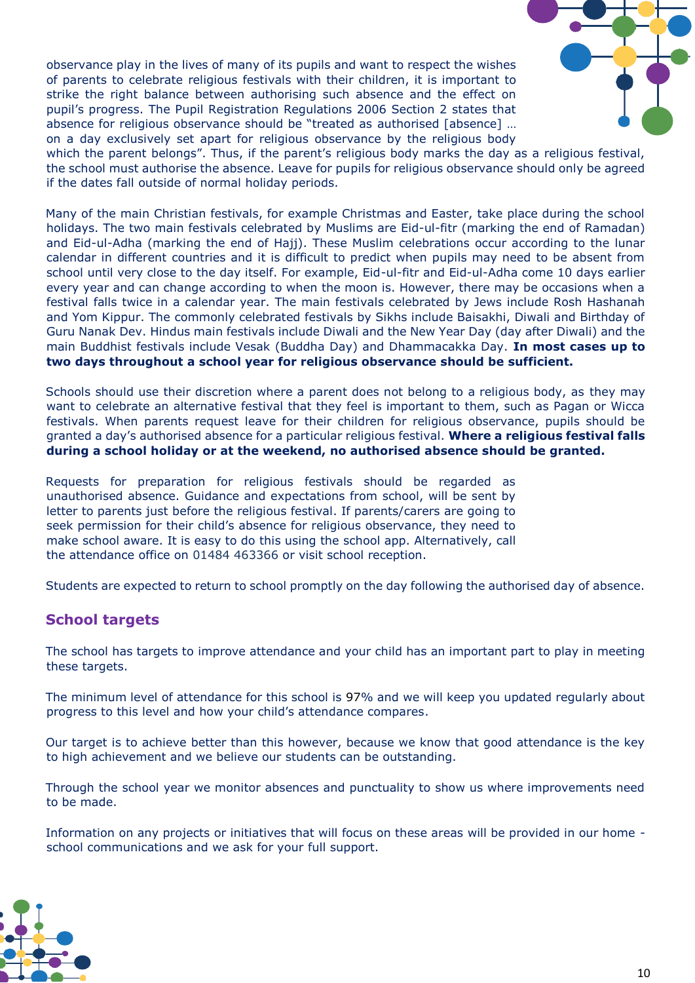observance play in the lives of many of its pupils and want to respect the wishes of parents to celebrate religious festivals with their children, it is important to strike the right balance between authorising such absence and the effect on pupil's progress. The Pupil Registration Regulations 2006 Section 2 states that absence for religious observance should be "treated as authorised [absence] … on a day exclusively set apart for religious observance by the religious body



which the parent belongs". Thus, if the parent's religious body marks the day as a religious festival, the school must authorise the absence. Leave for pupils for religious observance should only be agreed if the dates fall outside of normal holiday periods.

Many of the main Christian festivals, for example Christmas and Easter, take place during the school holidays. The two main festivals celebrated by Muslims are Eid-ul-fitr (marking the end of Ramadan) and Eid-ul-Adha (marking the end of Hajj). These Muslim celebrations occur according to the lunar calendar in different countries and it is difficult to predict when pupils may need to be absent from school until very close to the day itself. For example, Eid-ul-fitr and Eid-ul-Adha come 10 days earlier every year and can change according to when the moon is. However, there may be occasions when a festival falls twice in a calendar year. The main festivals celebrated by Jews include Rosh Hashanah and Yom Kippur. The commonly celebrated festivals by Sikhs include Baisakhi, Diwali and Birthday of Guru Nanak Dev. Hindus main festivals include Diwali and the New Year Day (day after Diwali) and the main Buddhist festivals include Vesak (Buddha Day) and Dhammacakka Day. **In most cases up to two days throughout a school year for religious observance should be sufficient.** 

Schools should use their discretion where a parent does not belong to a religious body, as they may want to celebrate an alternative festival that they feel is important to them, such as Pagan or Wicca festivals. When parents request leave for their children for religious observance, pupils should be granted a day's authorised absence for a particular religious festival. **Where a religious festival falls during a school holiday or at the weekend, no authorised absence should be granted.** 

Requests for preparation for religious festivals should be regarded as unauthorised absence. Guidance and expectations from school, will be sent by letter to parents just before the religious festival. If parents/carers are going to seek permission for their child's absence for religious observance, they need to make school aware. It is easy to do this using the school app. Alternatively, call the attendance office on 01484 463366 or visit school reception.

Students are expected to return to school promptly on the day following the authorised day of absence.

## **School targets**

The school has targets to improve attendance and your child has an important part to play in meeting these targets.

The minimum level of attendance for this school is 97% and we will keep you updated regularly about progress to this level and how your child's attendance compares.

Our target is to achieve better than this however, because we know that good attendance is the key to high achievement and we believe our students can be outstanding.

Through the school year we monitor absences and punctuality to show us where improvements need to be made.

Information on any projects or initiatives that will focus on these areas will be provided in our home school communications and we ask for your full support.

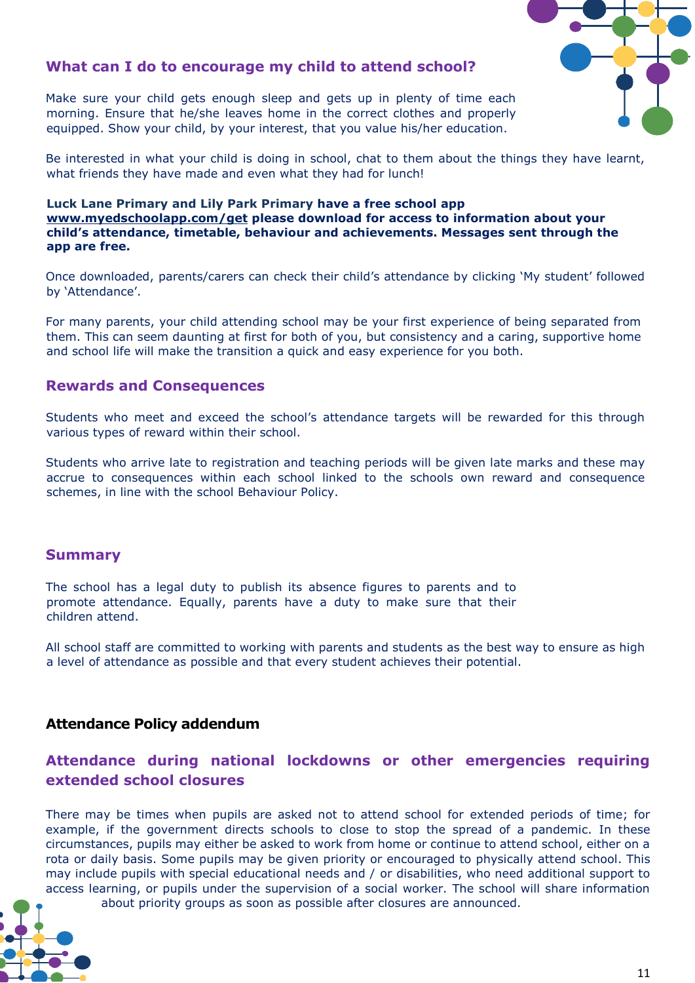

## **What can I do to encourage my child to attend school?**

Make sure your child gets enough sleep and gets up in plenty of time each morning. Ensure that he/she leaves home in the correct clothes and properly equipped. Show your child, by your interest, that you value his/her education.

Be interested in what your child is doing in school, chat to them about the things they have learnt, what friends they have made and even what they had for lunch!

#### **Luck Lane Primary and Lily Park Primary have a free school ap[p](http://www.myedschoolapp.com/get) [www.myedschoolapp.com/get](http://www.myedschoolapp.com/get) please download for access to information about your child's attendance, timetable, behaviour and achievements. Messages sent through the app are free.**

Once downloaded, parents/carers can check their child's attendance by clicking 'My student' followed by 'Attendance'.

For many parents, your child attending school may be your first experience of being separated from them. This can seem daunting at first for both of you, but consistency and a caring, supportive home and school life will make the transition a quick and easy experience for you both.

#### **Rewards and Consequences**

Students who meet and exceed the school's attendance targets will be rewarded for this through various types of reward within their school.

Students who arrive late to registration and teaching periods will be given late marks and these may accrue to consequences within each school linked to the schools own reward and consequence schemes, in line with the school Behaviour Policy.

#### **Summary**

The school has a legal duty to publish its absence figures to parents and to promote attendance. Equally, parents have a duty to make sure that their children attend.

All school staff are committed to working with parents and students as the best way to ensure as high a level of attendance as possible and that every student achieves their potential.

## **Attendance Policy addendum**

## **Attendance during national lockdowns or other emergencies requiring extended school closures**

There may be times when pupils are asked not to attend school for extended periods of time; for example, if the government directs schools to close to stop the spread of a pandemic. In these circumstances, pupils may either be asked to work from home or continue to attend school, either on a rota or daily basis. Some pupils may be given priority or encouraged to physically attend school. This may include pupils with special educational needs and / or disabilities, who need additional support to access learning, or pupils under the supervision of a social worker. The school will share information about priority groups as soon as possible after closures are announced.